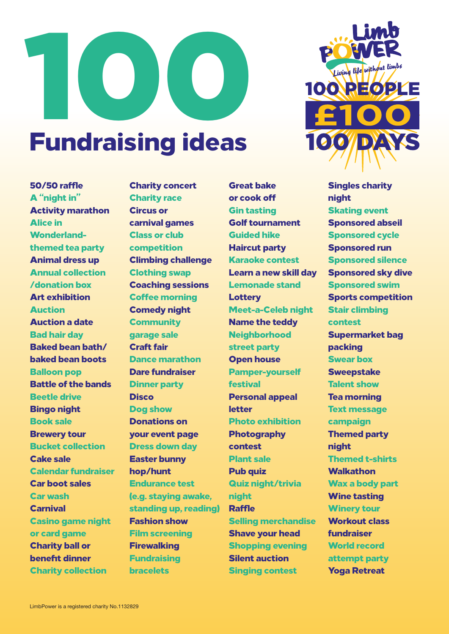



## 50/50 raffle A "night in" Activity marathon Alice in Wonderlandthemed tea party Animal dress up Annual collection /donation box Art exhibition Auction Auction a date Bad hair day Baked bean bath/ baked bean boots Balloon pop Battle of the bands Beetle drive Bingo night Book sale Brewery tour Bucket collection Cake sale Calendar fundraiser Car boot sales Car wash **Carnival** Casino game night or card game Charity ball or benefit dinner Charity collection

Charity concert Charity race Circus or carnival games Class or club competition Climbing challenge Clothing swap Coaching sessions Coffee morning Comedy night **Community** garage sale Craft fair Dance marathon Dare fundraiser Dinner party **Disco** Dog show Donations on your event page Dress down day Easter bunny hop/hunt Endurance test (e.g. staying awake, standing up, reading) Fashion show Film screening **Firewalking** Fundraising **bracelets** 

Great bake or cook off Gin tasting Golf tournament Guided hike Haircut party Karaoke contest Learn a new skill day Lemonade stand **Lottery** Meet-a-Celeb night Name the teddy **Neighborhood** street party Open house Pamper-yourself festival Personal appeal letter Photo exhibition **Photography** contest Plant sale Pub quiz Quiz night/trivia night Raffle Selling merchandise Shave your head Shopping evening Silent auction Singing contest

Singles charity night Skating event Sponsored abseil Sponsored cycle Sponsored run Sponsored silence Sponsored sky dive Sponsored swim Sports competition Stair climbing contest Supermarket bag packing Swear box **Sweepstake** Talent show Tea morning **Text message** campaign Themed party night Themed t-shirts **Walkathon** Wax a body part Wine tasting Winery tour Workout class fundraiser World record attempt party Yoga Retreat